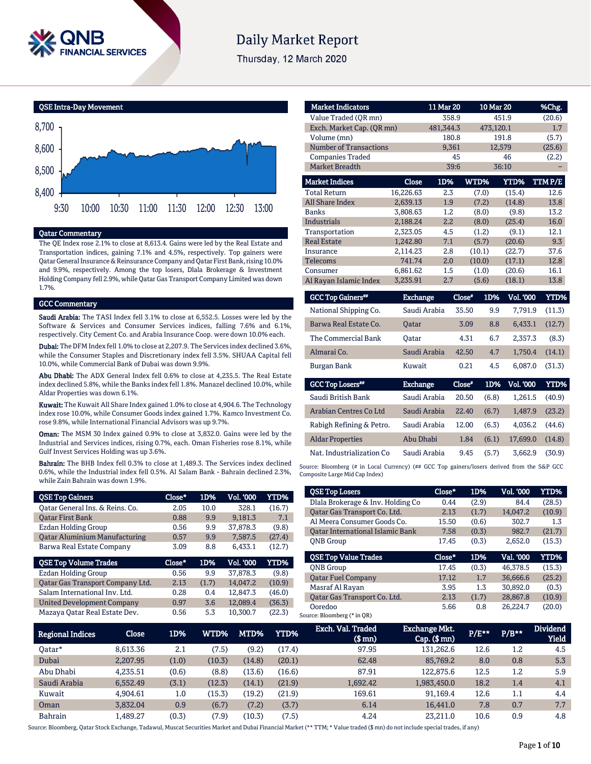

# **Daily Market Report**

Thursday, 12 March 2020



### Qatar Commentary

The QE Index rose 2.1% to close at 8,613.4. Gains were led by the Real Estate and Transportation indices, gaining 7.1% and 4.5%, respectively. Top gainers were Qatar General Insurance & Reinsurance Company and Qatar First Bank, rising 10.0% and 9.9%, respectively. Among the top losers, Dlala Brokerage & Investment Holding Company fell 2.9%, while Qatar Gas Transport Company Limited was down 1.7%.

# **GCC Commentary**

Saudi Arabia: The TASI Index fell 3.1% to close at 6,552.5. Losses were led by the Software & Services and Consumer Services indices, falling 7.6% and 6.1%, respectively. City Cement Co. and Arabia Insurance Coop. were down 10.0% each.

Dubai: The DFM Index fell 1.0% to close at 2,207.9. The Services index declined 3.6%, while the Consumer Staples and Discretionary index fell 3.5%. SHUAA Capital fell 10.0%, while Commercial Bank of Dubai was down 9.9%.

Abu Dhabi: The ADX General Index fell 0.6% to close at 4,235.5. The Real Estate index declined 5.8%, while the Banks index fell 1.8%. Manazel declined 10.0%, while Aldar Properties was down 6.1%.

Kuwait: The Kuwait All Share Index gained 1.0% to close at 4,904.6. The Technology index rose 10.0%, while Consumer Goods index gained 1.7%. Kamco Investment Co. rose 9.8%, while International Financial Advisors was up 9.7%.

Oman: The MSM 30 Index gained 0.9% to close at 3,832.0. Gains were led by the Industrial and Services indices, rising 0.7%, each. Oman Fisheries rose 8.1%, while Gulf Invest Services Holding was up 3.6%.

Bahrain: The BHB Index fell 0.3% to close at 1,489.3. The Services index declined 0.6%, while the Industrial index fell 0.5%. Al Salam Bank - Bahrain declined 2.3%, while Zain Bahrain was down 1.9%.

| <b>QSE Top Gainers</b>               | Close* | 1D%   | <b>Vol. '000</b> | <b>YTD%</b> |
|--------------------------------------|--------|-------|------------------|-------------|
| Oatar General Ins. & Reins. Co.      | 2.05   | 10.0  | 328.1            | (16.7)      |
| <b>Oatar First Bank</b>              | 0.88   | 9.9   | 9.181.3          | 7.1         |
| <b>Ezdan Holding Group</b>           | 0.56   | 9.9   | 37,878.3         | (9.8)       |
| <b>Qatar Aluminium Manufacturing</b> | 0.57   | 9.9   | 7.587.5          | (27.4)      |
| Barwa Real Estate Company            | 3.09   | 8.8   | 6.433.1          | (12.7)      |
|                                      |        |       |                  |             |
| <b>QSE Top Volume Trades</b>         | Close* | 1D%   | Vol. '000        | <b>YTD%</b> |
| <b>Ezdan Holding Group</b>           | 0.56   | 9.9   | 37.878.3         | (9.8)       |
| Qatar Gas Transport Company Ltd.     | 2.13   | (1.7) | 14,047.2         | (10.9)      |
| Salam International Inv. Ltd.        | 0.28   | 0.4   | 12.847.3         | (46.0)      |
| <b>United Development Company</b>    | 0.97   | 3.6   | 12.089.4         | (36.3)      |

| <b>Market Indicators</b>             |                 | 11 Mar 20 |          | 10 Mar 20        | %Chg.  |
|--------------------------------------|-----------------|-----------|----------|------------------|--------|
| Value Traded (QR mn)                 |                 | 358.9     |          | 451.9            | (20.6) |
| Exch. Market Cap. (QR mn)            |                 | 481,344.3 |          | 473,120.1        | 1.7    |
| Volume (mn)                          |                 | 180.8     |          | 191.8            | (5.7)  |
| <b>Number of Transactions</b>        |                 | 9,361     |          | 12,579           | (25.6) |
| <b>Companies Traded</b>              |                 | 45        |          | 46               | (2.2)  |
| <b>Market Breadth</b>                |                 | 39:6      |          | 36:10            |        |
| <b>Market Indices</b>                | Close           | 1D%       | WTD%     | YTD%             | TTMP/E |
| <b>Total Return</b>                  | 16,226.63       | 2.3       | (7.0)    | (15.4)           | 12.6   |
| All Share Index                      | 2,639.13        | 1.9       | (7.2)    | (14.8)           | 13.8   |
| <b>Banks</b>                         | 3,808.63        | 1.2       | (8.0)    | (9.8)            | 13.2   |
| <b>Industrials</b>                   | 2.188.24        | 2.2       | (8.0)    | (25.4)           | 16.0   |
| Transportation                       | 2,323.05        | 4.5       | (1.2)    | (9.1)            | 12.1   |
| <b>Real Estate</b>                   | 1,242.80        | 7.1       | (5.7)    | (20.6)           | 9.3    |
| Insurance                            | 2,114.23        | 2.8       | (10.1)   | (22.7)           | 37.6   |
| <b>Telecoms</b>                      | 741.74          | 2.0       | (10.0)   | (17.1)           | 12.8   |
| Consumer                             | 6,861.62        | 1.5       | (1.0)    | (20.6)           | 16.1   |
| Al Rayan Islamic Index               | 3,235.91        | 2.7       | (5.6)    | (18.1)           | 13.8   |
| <b>GCC Top Gainers</b> <sup>##</sup> |                 |           | $Close*$ | 1D%<br>Vol. '000 | YTD%   |
|                                      | <b>Exchange</b> |           |          |                  |        |
| National Shipping Co.                | Saudi Arabia    |           | 35.50    | 7,791.9<br>9.9   | (11.3) |
| Barwa Real Estate Co.                | <b>Oatar</b>    |           | 3.09     | 6,433.1<br>8.8   | (12.7) |

The Commercial Bank Qatar 4.31 6.7 2,357.3 (8.3) Almarai Co. Saudi Arabia 42.50 4.7 1,750.4 (14.1) Burgan Bank Kuwait 0.21 4.5 6,087.0 (31.3)

Exchange Close#

Saudi British Bank Saudi Arabia 20.50 (6.8) 1,261.5 (40.9) Arabian Centres Co Ltd Saudi Arabia 22.40 (6.7) 1,487.9 (23.2) Rabigh Refining & Petro. Saudi Arabia 12.00 (6.3) 4,036.2 (44.6) Aldar Properties Abu Dhabi 1.84 (6.1) 17,699.0 (14.8) Nat. Industrialization Co Saudi Arabia 9.45 (5.7) 3,662.9 (30.9)

1D% Vol. '000 YTD%

Source: Bloomberg (# in Local Currency) (## GCC Top gainers/losers derived from the S&P GCC Composite Large Mid Cap Index)

| <b>QSE Top Losers</b>                                                                           | Close* | 1D%   | <b>Vol. '000</b> | YTD%   |
|-------------------------------------------------------------------------------------------------|--------|-------|------------------|--------|
| Dlala Brokerage & Inv. Holding Co                                                               | 0.44   | (2.9) | 84.4             | (28.5) |
| Qatar Gas Transport Co. Ltd.                                                                    | 2.13   | (1.7) | 14.047.2         | (10.9) |
| Al Meera Consumer Goods Co.                                                                     | 15.50  | (0.6) | 302.7            | 1.3    |
| Oatar International Islamic Bank                                                                | 7.58   | (0.3) | 982.7            | (21.7) |
| <b>ONB</b> Group                                                                                | 17.45  | (0.3) | 2.652.0          | (15.3) |
|                                                                                                 |        |       |                  |        |
|                                                                                                 | Close* | 1D%   | Val. '000        | YTD%   |
|                                                                                                 | 17.45  | (0.3) | 46.378.5         | (15.3) |
|                                                                                                 | 17.12  | 1.7   | 36.666.6         | (25.2) |
| <b>OSE Top Value Trades</b><br><b>ONB</b> Group<br><b>Oatar Fuel Company</b><br>Masraf Al Rayan | 3.95   | 1.3   | 30.892.0         | (0.3)  |
| Oatar Gas Transport Co. Ltd.                                                                    | 2.13   | (1.7) | 28,867.8         | (10.9) |

| <b>Regional Indices</b> | <b>Close</b> | 1D%     | WTD%'  | MTD%   | YTD%   | Exch. Val. Traded<br>$$$ mm $)$ | <b>Exchange Mkt.</b><br>$Cap.$ (\$ $mn$ ) | P/E** | $P/B**$ | <b>Dividend</b><br><b>Yield</b> |
|-------------------------|--------------|---------|--------|--------|--------|---------------------------------|-------------------------------------------|-------|---------|---------------------------------|
| Oatar*                  | 8.613.36     | 2.1     | (7.5)  | (9.2)  | (17.4) | 97.95                           | 131.262.6                                 | 12.6  | $1.2\,$ | 4.5                             |
| Dubai                   | 2.207.95     | (1.0)   | (10.3) | (14.8) | (20.1) | 62.48                           | 85,769.2                                  | 8.0   | 0.8     | 5.3                             |
| Abu Dhabi               | 4.235.51     | (0.6)   | (8.8)  | (13.6) | (16.6) | 87.91                           | 122.875.6                                 | 12.5  | 1.2     | 5.9                             |
| Saudi Arabia            | 6,552.49     | (3.1)   | (12.3) | (14.1) | (21.9) | 1.692.42                        | 1,983,450.0                               | 18.2  | 1.4     | 4.1                             |
| Kuwait                  | 4.904.61     | $1.0\,$ | (15.3) | (19.2  | (21.9) | 169.61                          | 91.169.4                                  | 12.6  | 1.1     | 4.4                             |
| Oman                    | 3.832.04     | 0.9     | (6.7)  | (7.2)  | (3.7)  | 6.14                            | 16.441.0                                  | 7.8   | 0.7     | 7.7                             |
| Bahrain                 | .489.27      | (0.3)   | (7.9)  | (10.3) | (7.5)  | 4.24                            | 23.211.0                                  | 10.6  | 0.9     | 4.8                             |

GCC Top Losers\*\*\*

Source: Bloomberg, Qatar Stock Exchange, Tadawul, Muscat Securities Market and Dubai Financial Market (\*\* TTM; \* Value traded (\$ mn) do not include special trades, if any)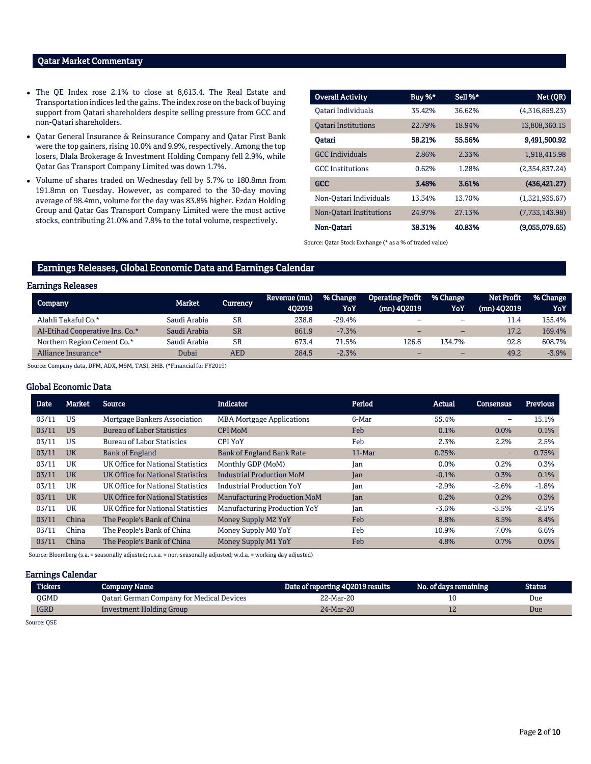# Qatar Market Commentary

- The QE Index rose 2.1% to close at 8,613.4. The Real Estate and Transportation indices led the gains. The index rose on the back of buying support from Qatari shareholders despite selling pressure from GCC and non-Qatari shareholders.
- Qatar General Insurance & Reinsurance Company and Qatar First Bank were the top gainers, rising 10.0% and 9.9%, respectively. Among the top losers, Dlala Brokerage & Investment Holding Company fell 2.9%, while Qatar Gas Transport Company Limited was down 1.7%.
- Volume of shares traded on Wednesday fell by 5.7% to 180.8mn from 191.8mn on Tuesday. However, as compared to the 30-day moving average of 98.4mn, volume for the day was 83.8% higher. Ezdan Holding Group and Qatar Gas Transport Company Limited were the most active stocks, contributing 21.0% and 7.8% to the total volume, respectively.

| <b>Overall Activity</b>    | Buy %* | Sell %* | Net (QR)       |
|----------------------------|--------|---------|----------------|
| Oatari Individuals         | 35.42% | 36.62%  | (4,316,859.23) |
| <b>Oatari Institutions</b> | 22.79% | 18.94%  | 13,808,360.15  |
| Oatari                     | 58.21% | 55.56%  | 9,491,500.92   |
| <b>GCC</b> Individuals     | 2.86%  | 2.33%   | 1,918,415.98   |
| <b>GCC</b> Institutions    | 0.62%  | 1.28%   | (2,354,837.24) |
| <b>GCC</b>                 | 3.48%  | 3.61%   | (436, 421.27)  |
| Non-Qatari Individuals     | 13.34% | 13.70%  | (1,321,935.67) |
| Non-Oatari Institutions    | 24.97% | 27.13%  | (7,733,143.98) |
| Non-Qatari                 | 38.31% | 40.83%  | (9,055,079.65) |

Source: Qatar Stock Exchange (\* as a % of traded value)

# Earnings Releases, Global Economic Data and Earnings Calendar

### Earnings Releases

| Company                         | Market       | Currency  | Revenue (mn)<br>402019 | % Change<br>YoY | <b>Operating Profit</b><br>(mn) 402019 | % Change<br>YoY          | <b>Net Profit</b><br>$(mn)$ 402019 | % Change<br>YoY |
|---------------------------------|--------------|-----------|------------------------|-----------------|----------------------------------------|--------------------------|------------------------------------|-----------------|
| Alahli Takaful Co.*             | Saudi Arabia | <b>SR</b> | 238.8                  | $-29.4%$        | $\overline{\phantom{0}}$               | $\overline{\phantom{0}}$ | 11.4                               | 155.4%          |
| Al-Etihad Cooperative Ins. Co.* | Saudi Arabia | <b>SR</b> | 861.9                  | $-7.3%$         |                                        | $\overline{\phantom{0}}$ | 17.2                               | 169.4%          |
| Northern Region Cement Co.*     | Saudi Arabia | <b>SR</b> | 673.4                  | 71.5%           | 126.6                                  | 134.7%                   | 92.8                               | 608.7%          |
| Alliance Insurance*             | Dubai        | AED       | 284.5                  | $-2.3%$         |                                        | $-$                      | 49.2                               | $-3.9%$         |

Source: Company data, DFM, ADX, MSM, TASI, BHB. (\*Financial for FY2019)

# Global Economic Data

| Date  | <b>Market</b> | <b>Source</b>                            | <b>Indicator</b>                    | Period   | Actual  | <b>Consensus</b>         | <b>Previous</b> |
|-------|---------------|------------------------------------------|-------------------------------------|----------|---------|--------------------------|-----------------|
| 03/11 | <b>US</b>     | Mortgage Bankers Association             | <b>MBA Mortgage Applications</b>    | 6-Mar    | 55.4%   | $\overline{\phantom{0}}$ | 15.1%           |
| 03/11 | <b>US</b>     | <b>Bureau of Labor Statistics</b>        | <b>CPI MoM</b>                      | Feb      | 0.1%    | $0.0\%$                  | 0.1%            |
| 03/11 | <b>US</b>     | <b>Bureau of Labor Statistics</b>        | <b>CPI YoY</b>                      | Feb      | 2.3%    | 2.2%                     | 2.5%            |
| 03/11 | <b>UK</b>     | <b>Bank of England</b>                   | <b>Bank of England Bank Rate</b>    | $11-Mar$ | 0.25%   | $-$                      | 0.75%           |
| 03/11 | <b>UK</b>     | UK Office for National Statistics        | Monthly GDP (MoM)                   | Jan      | $0.0\%$ | 0.2%                     | 0.3%            |
| 03/11 | <b>UK</b>     | <b>UK Office for National Statistics</b> | <b>Industrial Production MoM</b>    | Jan      | $-0.1%$ | 0.3%                     | 0.1%            |
| 03/11 | <b>UK</b>     | UK Office for National Statistics        | <b>Industrial Production YoY</b>    | Jan      | $-2.9%$ | $-2.6%$                  | $-1.8%$         |
| 03/11 | <b>UK</b>     | UK Office for National Statistics        | <b>Manufacturing Production MoM</b> | Jan      | 0.2%    | 0.2%                     | 0.3%            |
| 03/11 | <b>UK</b>     | UK Office for National Statistics        | Manufacturing Production YoY        | Jan      | $-3.6%$ | $-3.5%$                  | $-2.5%$         |
| 03/11 | China         | The People's Bank of China               | <b>Money Supply M2 YoY</b>          | Feb      | 8.8%    | 8.5%                     | 8.4%            |
| 03/11 | China         | The People's Bank of China               | Money Supply M0 YoY                 | Feb      | 10.9%   | 7.0%                     | 6.6%            |
| 03/11 | China         | The People's Bank of China               | Money Supply M1 YoY                 | Feb      | 4.8%    | 0.7%                     | 0.0%            |

Source: Bloomberg (s.a. = seasonally adjusted; n.s.a. = non-seasonally adjusted; w.d.a. = working day adjusted)

### Earnings Calendar

| <b>Tickers</b> | Company Name                              | Date of reporting 402019 results | No. of davs remaining . | Status' |
|----------------|-------------------------------------------|----------------------------------|-------------------------|---------|
| <b>OGMD</b>    | Qatari German Company for Medical Devices | 22-Mar-20                        |                         | Due     |
| <b>IGRD</b>    | Investment Holding Group                  | 24-Mar-20                        |                         | Due     |

Source: QSE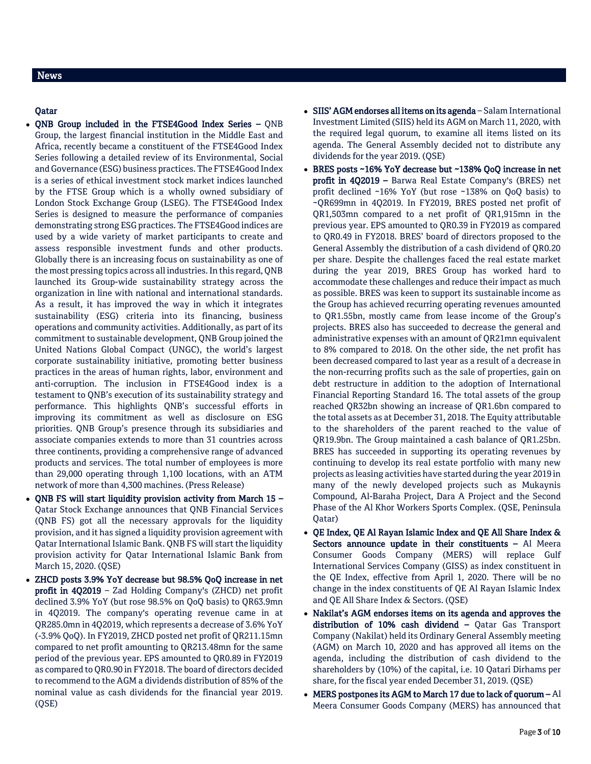# Qatar

- QNB Group included in the FTSE4Good Index Series QNB Group, the largest financial institution in the Middle East and Africa, recently became a constituent of the FTSE4Good Index Series following a detailed review of its Environmental, Social and Governance (ESG) business practices. The FTSE4Good Index is a series of ethical investment stock market indices launched by the FTSE Group which is a wholly owned subsidiary of London Stock Exchange Group (LSEG). The FTSE4Good Index Series is designed to measure the performance of companies demonstrating strong ESG practices. The FTSE4Good indices are used by a wide variety of market participants to create and assess responsible investment funds and other products. Globally there is an increasing focus on sustainability as one of the most pressing topics across all industries. In this regard, QNB launched its Group-wide sustainability strategy across the organization in line with national and international standards. As a result, it has improved the way in which it integrates sustainability (ESG) criteria into its financing, business operations and community activities. Additionally, as part of its commitment to sustainable development, QNB Group joined the United Nations Global Compact (UNGC), the world's largest corporate sustainability initiative, promoting better business practices in the areas of human rights, labor, environment and anti-corruption. The inclusion in FTSE4Good index is a testament to QNB's execution of its sustainability strategy and performance. This highlights QNB's successful efforts in improving its commitment as well as disclosure on ESG priorities. QNB Group's presence through its subsidiaries and associate companies extends to more than 31 countries across three continents, providing a comprehensive range of advanced products and services. The total number of employees is more than 29,000 operating through 1,100 locations, with an ATM network of more than 4,300 machines. (Press Release)
- QNB FS will start liquidity provision activity from March 15 Qatar Stock Exchange announces that QNB Financial Services (QNB FS) got all the necessary approvals for the liquidity provision, and it has signed a liquidity provision agreement with Qatar International Islamic Bank. QNB FS will start the liquidity provision activity for Qatar International Islamic Bank from March 15, 2020. (QSE)
- ZHCD posts 3.9% YoY decrease but 98.5% QoQ increase in net profit in 4Q2019 – Zad Holding Company's (ZHCD) net profit declined 3.9% YoY (but rose 98.5% on QoQ basis) to QR63.9mn in 4Q2019. The company's operating revenue came in at QR285.0mn in 4Q2019, which represents a decrease of 3.6% YoY (-3.9% QoQ). In FY2019, ZHCD posted net profit of QR211.15mn compared to net profit amounting to QR213.48mn for the same period of the previous year. EPS amounted to QR0.89 in FY2019 as compared to QR0.90 in FY2018. The board of directors decided to recommend to the AGM a dividends distribution of 85% of the nominal value as cash dividends for the financial year 2019. (QSE)
- SIIS' AGM endorses all items on its agenda Salam International Investment Limited (SIIS) held its AGM on March 11, 2020, with the required legal quorum, to examine all items listed on its agenda. The General Assembly decided not to distribute any dividends for the year 2019. (QSE)
- BRES posts ~16% YoY decrease but ~138% QoQ increase in net profit in 4Q2019 – Barwa Real Estate Company's (BRES) net profit declined ~16% YoY (but rose ~138% on QoQ basis) to ~QR699mn in 4Q2019. In FY2019, BRES posted net profit of QR1,503mn compared to a net profit of QR1,915mn in the previous year. EPS amounted to QR0.39 in FY2019 as compared to QR0.49 in FY2018. BRES' board of directors proposed to the General Assembly the distribution of a cash dividend of QR0.20 per share. Despite the challenges faced the real estate market during the year 2019, BRES Group has worked hard to accommodate these challenges and reduce their impact as much as possible. BRES was keen to support its sustainable income as the Group has achieved recurring operating revenues amounted to QR1.55bn, mostly came from lease income of the Group's projects. BRES also has succeeded to decrease the general and administrative expenses with an amount of QR21mn equivalent to 8% compared to 2018. On the other side, the net profit has been decreased compared to last year as a result of a decrease in the non-recurring profits such as the sale of properties, gain on debt restructure in addition to the adoption of International Financial Reporting Standard 16. The total assets of the group reached QR32bn showing an increase of QR1.6bn compared to the total assets as at December 31, 2018. The Equity attributable to the shareholders of the parent reached to the value of QR19.9bn. The Group maintained a cash balance of QR1.25bn. BRES has succeeded in supporting its operating revenues by continuing to develop its real estate portfolio with many new projects as leasing activities have started during the year 2019 in many of the newly developed projects such as Mukaynis Compound, Al-Baraha Project, Dara A Project and the Second Phase of the Al Khor Workers Sports Complex. (QSE, Peninsula Qatar)
- QE Index, QE Al Rayan Islamic Index and QE All Share Index & Sectors announce update in their constituents – Al Meera Consumer Goods Company (MERS) will replace Gulf International Services Company (GISS) as index constituent in the QE Index, effective from April 1, 2020. There will be no change in the index constituents of QE Al Rayan Islamic Index and QE All Share Index & Sectors. (QSE)
- Nakilat's AGM endorses items on its agenda and approves the distribution of 10% cash dividend – Qatar Gas Transport Company (Nakilat) held its Ordinary General Assembly meeting (AGM) on March 10, 2020 and has approved all items on the agenda, including the distribution of cash dividend to the shareholders by (10%) of the capital, i.e. 10 Qatari Dirhams per share, for the fiscal year ended December 31, 2019. (QSE)
- MERS postpones its AGM to March 17 due to lack of quorum Al Meera Consumer Goods Company (MERS) has announced that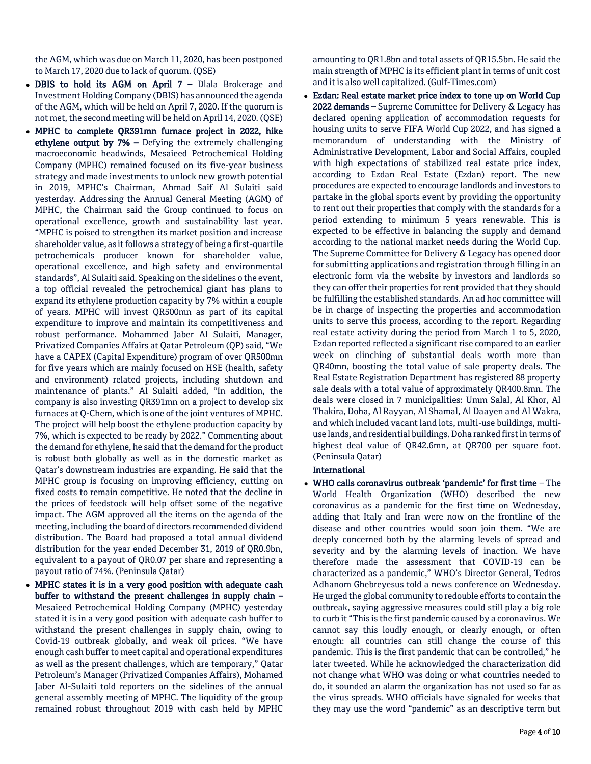the AGM, which was due on March 11, 2020, has been postponed to March 17, 2020 due to lack of quorum. (QSE)

- DBIS to hold its AGM on April 7 Dlala Brokerage and Investment Holding Company (DBIS) has announced the agenda of the AGM, which will be held on April 7, 2020. If the quorum is not met, the second meeting will be held on April 14, 2020. (QSE)
- MPHC to complete QR391mn furnace project in 2022, hike ethylene output by 7% - Defying the extremely challenging macroeconomic headwinds, Mesaieed Petrochemical Holding Company (MPHC) remained focused on its five-year business strategy and made investments to unlock new growth potential in 2019, MPHC's Chairman, Ahmad Saif Al Sulaiti said yesterday. Addressing the Annual General Meeting (AGM) of MPHC, the Chairman said the Group continued to focus on operational excellence, growth and sustainability last year. "MPHC is poised to strengthen its market position and increase shareholder value, as it follows a strategy of being a first-quartile petrochemicals producer known for shareholder value, operational excellence, and high safety and environmental standards", Al Sulaiti said. Speaking on the sidelines o the event, a top official revealed the petrochemical giant has plans to expand its ethylene production capacity by 7% within a couple of years. MPHC will invest QR500mn as part of its capital expenditure to improve and maintain its competitiveness and robust performance. Mohammed Jaber Al Sulaiti, Manager, Privatized Companies Affairs at Qatar Petroleum (QP) said, "We have a CAPEX (Capital Expenditure) program of over QR500mn for five years which are mainly focused on HSE (health, safety and environment) related projects, including shutdown and maintenance of plants." Al Sulaiti added, "In addition, the company is also investing QR391mn on a project to develop six furnaces at Q-Chem, which is one of the joint ventures of MPHC. The project will help boost the ethylene production capacity by 7%, which is expected to be ready by 2022." Commenting about the demand for ethylene, he said that the demand for the product is robust both globally as well as in the domestic market as Qatar's downstream industries are expanding. He said that the MPHC group is focusing on improving efficiency, cutting on fixed costs to remain competitive. He noted that the decline in the prices of feedstock will help offset some of the negative impact. The AGM approved all the items on the agenda of the meeting, including the board of directors recommended dividend distribution. The Board had proposed a total annual dividend distribution for the year ended December 31, 2019 of QR0.9bn, equivalent to a payout of QR0.07 per share and representing a payout ratio of 74%. (Peninsula Qatar)
- MPHC states it is in a very good position with adequate cash buffer to withstand the present challenges in supply chain – Mesaieed Petrochemical Holding Company (MPHC) yesterday stated it is in a very good position with adequate cash buffer to withstand the present challenges in supply chain, owing to Covid-19 outbreak globally, and weak oil prices. "We have enough cash buffer to meet capital and operational expenditures as well as the present challenges, which are temporary," Qatar Petroleum's Manager (Privatized Companies Affairs), Mohamed Jaber Al-Sulaiti told reporters on the sidelines of the annual general assembly meeting of MPHC. The liquidity of the group remained robust throughout 2019 with cash held by MPHC

amounting to QR1.8bn and total assets of QR15.5bn. He said the main strength of MPHC is its efficient plant in terms of unit cost and it is also well capitalized. (Gulf-Times.com)

 Ezdan: Real estate market price index to tone up on World Cup 2022 demands – Supreme Committee for Delivery & Legacy has declared opening application of accommodation requests for housing units to serve FIFA World Cup 2022, and has signed a memorandum of understanding with the Ministry of Administrative Development, Labor and Social Affairs, coupled with high expectations of stabilized real estate price index, according to Ezdan Real Estate (Ezdan) report. The new procedures are expected to encourage landlords and investors to partake in the global sports event by providing the opportunity to rent out their properties that comply with the standards for a period extending to minimum 5 years renewable. This is expected to be effective in balancing the supply and demand according to the national market needs during the World Cup. The Supreme Committee for Delivery & Legacy has opened door for submitting applications and registration through filling in an electronic form via the website by investors and landlords so they can offer their properties for rent provided that they should be fulfilling the established standards. An ad hoc committee will be in charge of inspecting the properties and accommodation units to serve this process, according to the report. Regarding real estate activity during the period from March 1 to 5, 2020, Ezdan reported reflected a significant rise compared to an earlier week on clinching of substantial deals worth more than QR40mn, boosting the total value of sale property deals. The Real Estate Registration Department has registered 88 property sale deals with a total value of approximately QR400.8mn. The deals were closed in 7 municipalities: Umm Salal, Al Khor, Al Thakira, Doha, Al Rayyan, Al Shamal, Al Daayen and Al Wakra, and which included vacant land lots, multi-use buildings, multiuse lands, and residential buildings. Doha ranked first in terms of highest deal value of QR42.6mn, at QR700 per square foot. (Peninsula Qatar)

# International

 WHO calls coronavirus outbreak 'pandemic' for first time – The World Health Organization (WHO) described the new coronavirus as a pandemic for the first time on Wednesday, adding that Italy and Iran were now on the frontline of the disease and other countries would soon join them. "We are deeply concerned both by the alarming levels of spread and severity and by the alarming levels of inaction. We have therefore made the assessment that COVID-19 can be characterized as a pandemic," WHO's Director General, Tedros Adhanom Ghebreyesus told a news conference on Wednesday. He urged the global community to redouble efforts to contain the outbreak, saying aggressive measures could still play a big role to curb it "This is the first pandemic caused by a coronavirus. We cannot say this loudly enough, or clearly enough, or often enough: all countries can still change the course of this pandemic. This is the first pandemic that can be controlled," he later tweeted. While he acknowledged the characterization did not change what WHO was doing or what countries needed to do, it sounded an alarm the organization has not used so far as the virus spreads. WHO officials have signaled for weeks that they may use the word "pandemic" as an descriptive term but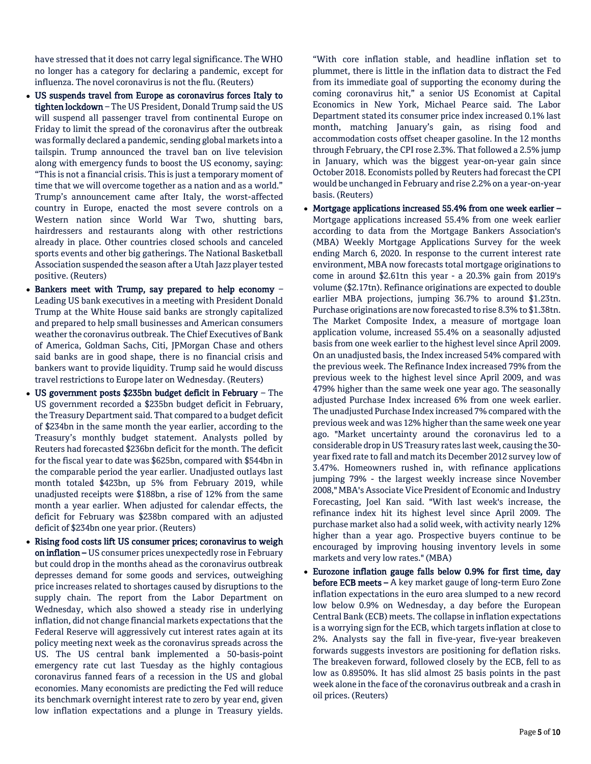have stressed that it does not carry legal significance. The WHO no longer has a category for declaring a pandemic, except for influenza. The novel coronavirus is not the flu. (Reuters)

- US suspends travel from Europe as coronavirus forces Italy to tighten lockdown - The US President, Donald Trump said the US will suspend all passenger travel from continental Europe on Friday to limit the spread of the coronavirus after the outbreak was formally declared a pandemic, sending global markets into a tailspin. Trump announced the travel ban on live television along with emergency funds to boost the US economy, saying: "This is not a financial crisis. This is just a temporary moment of time that we will overcome together as a nation and as a world." Trump's announcement came after Italy, the worst-affected country in Europe, enacted the most severe controls on a Western nation since World War Two, shutting bars, hairdressers and restaurants along with other restrictions already in place. Other countries closed schools and canceled sports events and other big gatherings. The National Basketball Association suspended the season after a Utah Jazz player tested positive. (Reuters)
- $\bullet$  Bankers meet with Trump, say prepared to help economy -Leading US bank executives in a meeting with President Donald Trump at the White House said banks are strongly capitalized and prepared to help small businesses and American consumers weather the coronavirus outbreak. The Chief Executives of Bank of America, Goldman Sachs, Citi, JPMorgan Chase and others said banks are in good shape, there is no financial crisis and bankers want to provide liquidity. Trump said he would discuss travel restrictions to Europe later on Wednesday. (Reuters)
- US government posts \$235bn budget deficit in February The US government recorded a \$235bn budget deficit in February, the Treasury Department said. That compared to a budget deficit of \$234bn in the same month the year earlier, according to the Treasury's monthly budget statement. Analysts polled by Reuters had forecasted \$236bn deficit for the month. The deficit for the fiscal year to date was \$625bn, compared with \$544bn in the comparable period the year earlier. Unadjusted outlays last month totaled \$423bn, up 5% from February 2019, while unadjusted receipts were \$188bn, a rise of 12% from the same month a year earlier. When adjusted for calendar effects, the deficit for February was \$238bn compared with an adjusted deficit of \$234bn one year prior. (Reuters)
- Rising food costs lift US consumer prices; coronavirus to weigh on inflation – US consumer prices unexpectedly rose in February but could drop in the months ahead as the coronavirus outbreak depresses demand for some goods and services, outweighing price increases related to shortages caused by disruptions to the supply chain. The report from the Labor Department on Wednesday, which also showed a steady rise in underlying inflation, did not change financial markets expectations that the Federal Reserve will aggressively cut interest rates again at its policy meeting next week as the coronavirus spreads across the US. The US central bank implemented a 50-basis-point emergency rate cut last Tuesday as the highly contagious coronavirus fanned fears of a recession in the US and global economies. Many economists are predicting the Fed will reduce its benchmark overnight interest rate to zero by year end, given low inflation expectations and a plunge in Treasury yields.

"With core inflation stable, and headline inflation set to plummet, there is little in the inflation data to distract the Fed from its immediate goal of supporting the economy during the coming coronavirus hit," a senior US Economist at Capital Economics in New York, Michael Pearce said. The Labor Department stated its consumer price index increased 0.1% last month, matching January's gain, as rising food and accommodation costs offset cheaper gasoline. In the 12 months through February, the CPI rose 2.3%. That followed a 2.5% jump in January, which was the biggest year-on-year gain since October 2018. Economists polled by Reuters had forecast the CPI would be unchanged in February and rise 2.2% on a year-on-year basis. (Reuters)

- Mortgage applications increased 55.4% from one week earlier Mortgage applications increased 55.4% from one week earlier according to data from the Mortgage Bankers Association's (MBA) Weekly Mortgage Applications Survey for the week ending March 6, 2020. In response to the current interest rate environment, MBA now forecasts total mortgage originations to come in around \$2.61tn this year - a 20.3% gain from 2019's volume (\$2.17tn). Refinance originations are expected to double earlier MBA projections, jumping 36.7% to around \$1.23tn. Purchase originations are now forecasted to rise 8.3% to \$1.38tn. The Market Composite Index, a measure of mortgage loan application volume, increased 55.4% on a seasonally adjusted basis from one week earlier to the highest level since April 2009. On an unadjusted basis, the Index increased 54% compared with the previous week. The Refinance Index increased 79% from the previous week to the highest level since April 2009, and was 479% higher than the same week one year ago. The seasonally adjusted Purchase Index increased 6% from one week earlier. The unadjusted Purchase Index increased 7% compared with the previous week and was 12% higher than the same week one year ago. "Market uncertainty around the coronavirus led to a considerable drop in US Treasury rates last week, causing the 30 year fixed rate to fall and match its December 2012 survey low of 3.47%. Homeowners rushed in, with refinance applications jumping 79% - the largest weekly increase since November 2008," MBA's Associate Vice President of Economic and Industry Forecasting, Joel Kan said. "With last week's increase, the refinance index hit its highest level since April 2009. The purchase market also had a solid week, with activity nearly 12% higher than a year ago. Prospective buyers continue to be encouraged by improving housing inventory levels in some markets and very low rates." (MBA)
- Eurozone inflation gauge falls below 0.9% for first time, day before ECB meets – A key market gauge of long-term Euro Zone inflation expectations in the euro area slumped to a new record low below 0.9% on Wednesday, a day before the European Central Bank (ECB) meets. The collapse in inflation expectations is a worrying sign for the ECB, which targets inflation at close to 2%. Analysts say the fall in five-year, five-year breakeven forwards suggests investors are positioning for deflation risks. The breakeven forward, followed closely by the ECB, fell to as low as 0.8950%. It has slid almost 25 basis points in the past week alone in the face of the coronavirus outbreak and a crash in oil prices. (Reuters)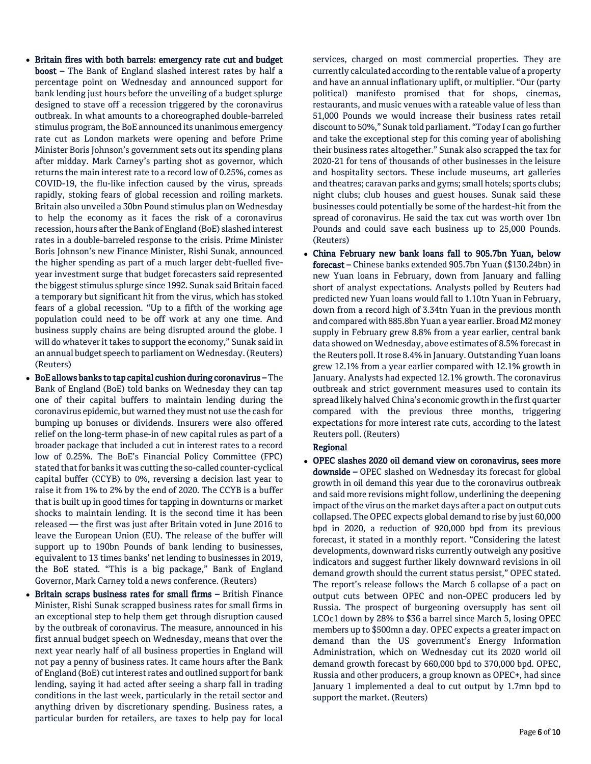- Britain fires with both barrels: emergency rate cut and budget boost – The Bank of England slashed interest rates by half a percentage point on Wednesday and announced support for bank lending just hours before the unveiling of a budget splurge designed to stave off a recession triggered by the coronavirus outbreak. In what amounts to a choreographed double-barreled stimulus program, the BoE announced its unanimous emergency rate cut as London markets were opening and before Prime Minister Boris Johnson's government sets out its spending plans after midday. Mark Carney's parting shot as governor, which returns the main interest rate to a record low of 0.25%, comes as COVID-19, the flu-like infection caused by the virus, spreads rapidly, stoking fears of global recession and roiling markets. Britain also unveiled a 30bn Pound stimulus plan on Wednesday to help the economy as it faces the risk of a coronavirus recession, hours after the Bank of England (BoE) slashed interest rates in a double-barreled response to the crisis. Prime Minister Boris Johnson's new Finance Minister, Rishi Sunak, announced the higher spending as part of a much larger debt-fuelled fiveyear investment surge that budget forecasters said represented the biggest stimulus splurge since 1992. Sunak said Britain faced a temporary but significant hit from the virus, which has stoked fears of a global recession. "Up to a fifth of the working age population could need to be off work at any one time. And business supply chains are being disrupted around the globe. I will do whatever it takes to support the economy," Sunak said in an annual budget speech to parliament on Wednesday. (Reuters) (Reuters)
- BoE allows banks to tap capital cushion during coronavirus The Bank of England (BoE) told banks on Wednesday they can tap one of their capital buffers to maintain lending during the coronavirus epidemic, but warned they must not use the cash for bumping up bonuses or dividends. Insurers were also offered relief on the long-term phase-in of new capital rules as part of a broader package that included a cut in interest rates to a record low of 0.25%. The BoE's Financial Policy Committee (FPC) stated that for banks it was cutting the so-called counter-cyclical capital buffer (CCYB) to 0%, reversing a decision last year to raise it from 1% to 2% by the end of 2020. The CCYB is a buffer that is built up in good times for tapping in downturns or market shocks to maintain lending. It is the second time it has been released — the first was just after Britain voted in June 2016 to leave the European Union (EU). The release of the buffer will support up to 190bn Pounds of bank lending to businesses, equivalent to 13 times banks' net lending to businesses in 2019, the BoE stated. "This is a big package," Bank of England Governor, Mark Carney told a news conference. (Reuters)
- Britain scraps business rates for small firms British Finance Minister, Rishi Sunak scrapped business rates for small firms in an exceptional step to help them get through disruption caused by the outbreak of coronavirus. The measure, announced in his first annual budget speech on Wednesday, means that over the next year nearly half of all business properties in England will not pay a penny of business rates. It came hours after the Bank of England (BoE) cut interest rates and outlined support for bank lending, saying it had acted after seeing a sharp fall in trading conditions in the last week, particularly in the retail sector and anything driven by discretionary spending. Business rates, a particular burden for retailers, are taxes to help pay for local

services, charged on most commercial properties. They are currently calculated according to the rentable value of a property and have an annual inflationary uplift, or multiplier. "Our (party political) manifesto promised that for shops, cinemas, restaurants, and music venues with a rateable value of less than 51,000 Pounds we would increase their business rates retail discount to 50%," Sunak told parliament. "Today I can go further and take the exceptional step for this coming year of abolishing their business rates altogether." Sunak also scrapped the tax for 2020-21 for tens of thousands of other businesses in the leisure and hospitality sectors. These include museums, art galleries and theatres; caravan parks and gyms; small hotels; sports clubs; night clubs; club houses and guest houses. Sunak said these businesses could potentially be some of the hardest-hit from the spread of coronavirus. He said the tax cut was worth over 1bn Pounds and could save each business up to 25,000 Pounds. (Reuters)

 China February new bank loans fall to 905.7bn Yuan, below forecast – Chinese banks extended 905.7bn Yuan (\$130.24bn) in new Yuan loans in February, down from January and falling short of analyst expectations. Analysts polled by Reuters had predicted new Yuan loans would fall to 1.10tn Yuan in February, down from a record high of 3.34tn Yuan in the previous month and compared with 885.8bn Yuan a year earlier. Broad M2 money supply in February grew 8.8% from a year earlier, central bank data showed on Wednesday, above estimates of 8.5% forecast in the Reuters poll. It rose 8.4% in January. Outstanding Yuan loans grew 12.1% from a year earlier compared with 12.1% growth in January. Analysts had expected 12.1% growth. The coronavirus outbreak and strict government measures used to contain its spread likely halved China's economic growth in the first quarter compared with the previous three months, triggering expectations for more interest rate cuts, according to the latest Reuters poll. (Reuters)

# Regional

 OPEC slashes 2020 oil demand view on coronavirus, sees more downside – OPEC slashed on Wednesday its forecast for global growth in oil demand this year due to the coronavirus outbreak and said more revisions might follow, underlining the deepening impact of the virus on the market days after a pact on output cuts collapsed. The OPEC expects global demand to rise by just 60,000 bpd in 2020, a reduction of 920,000 bpd from its previous forecast, it stated in a monthly report. "Considering the latest developments, downward risks currently outweigh any positive indicators and suggest further likely downward revisions in oil demand growth should the current status persist," OPEC stated. The report's release follows the March 6 collapse of a pact on output cuts between OPEC and non-OPEC producers led by Russia. The prospect of burgeoning oversupply has sent oil LCOc1 down by 28% to \$36 a barrel since March 5, losing OPEC members up to \$500mn a day. OPEC expects a greater impact on demand than the US government's Energy Information Administration, which on Wednesday cut its 2020 world oil demand growth forecast by 660,000 bpd to 370,000 bpd. OPEC, Russia and other producers, a group known as OPEC+, had since January 1 implemented a deal to cut output by 1.7mn bpd to support the market. (Reuters)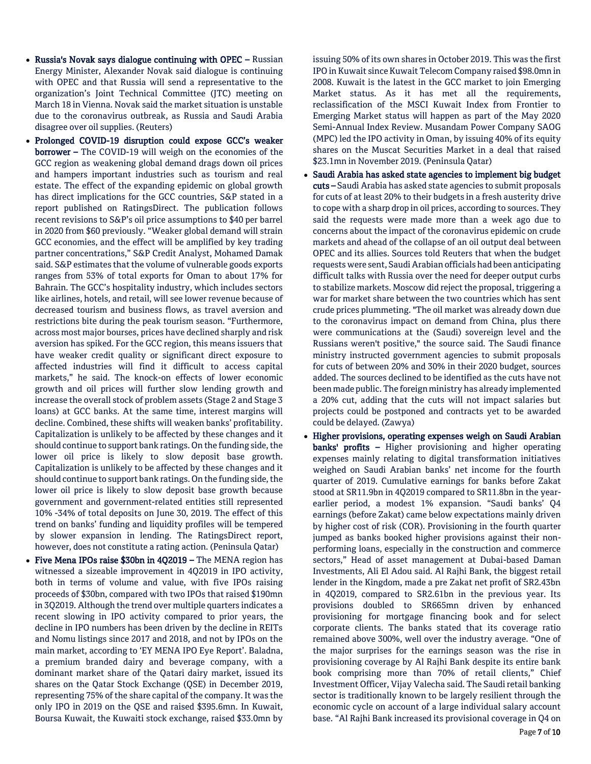- Russia's Novak says dialogue continuing with OPEC Russian Energy Minister, Alexander Novak said dialogue is continuing with OPEC and that Russia will send a representative to the organization's Joint Technical Committee (JTC) meeting on March 18 in Vienna. Novak said the market situation is unstable due to the coronavirus outbreak, as Russia and Saudi Arabia disagree over oil supplies. (Reuters)
- Prolonged COVID-19 disruption could expose GCC's weaker borrower – The COVID-19 will weigh on the economies of the GCC region as weakening global demand drags down oil prices and hampers important industries such as tourism and real estate. The effect of the expanding epidemic on global growth has direct implications for the GCC countries, S&P stated in a report published on RatingsDirect. The publication follows recent revisions to S&P's oil price assumptions to \$40 per barrel in 2020 from \$60 previously. "Weaker global demand will strain GCC economies, and the effect will be amplified by key trading partner concentrations," S&P Credit Analyst, Mohamed Damak said. S&P estimates that the volume of vulnerable goods exports ranges from 53% of total exports for Oman to about 17% for Bahrain. The GCC's hospitality industry, which includes sectors like airlines, hotels, and retail, will see lower revenue because of decreased tourism and business flows, as travel aversion and restrictions bite during the peak tourism season. "Furthermore, across most major bourses, prices have declined sharply and risk aversion has spiked. For the GCC region, this means issuers that have weaker credit quality or significant direct exposure to affected industries will find it difficult to access capital markets," he said. The knock-on effects of lower economic growth and oil prices will further slow lending growth and increase the overall stock of problem assets (Stage 2 and Stage 3 loans) at GCC banks. At the same time, interest margins will decline. Combined, these shifts will weaken banks' profitability. Capitalization is unlikely to be affected by these changes and it should continue to support bank ratings. On the funding side, the lower oil price is likely to slow deposit base growth. Capitalization is unlikely to be affected by these changes and it should continue to support bank ratings. On the funding side, the lower oil price is likely to slow deposit base growth because government and government-related entities still represented 10% -34% of total deposits on June 30, 2019. The effect of this trend on banks' funding and liquidity profiles will be tempered by slower expansion in lending. The RatingsDirect report, however, does not constitute a rating action. (Peninsula Qatar)
- Five Mena IPOs raise \$30bn in 4Q2019 The MENA region has witnessed a sizeable improvement in 4Q2019 in IPO activity, both in terms of volume and value, with five IPOs raising proceeds of \$30bn, compared with two IPOs that raised \$190mn in 3Q2019. Although the trend over multiple quarters indicates a recent slowing in IPO activity compared to prior years, the decline in IPO numbers has been driven by the decline in REITs and Nomu listings since 2017 and 2018, and not by IPOs on the main market, according to 'EY MENA IPO Eye Report'. Baladna, a premium branded dairy and beverage company, with a dominant market share of the Qatari dairy market, issued its shares on the Qatar Stock Exchange (QSE) in December 2019, representing 75% of the share capital of the company. It was the only IPO in 2019 on the QSE and raised \$395.6mn. In Kuwait, Boursa Kuwait, the Kuwaiti stock exchange, raised \$33.0mn by

issuing 50% of its own shares in October 2019. This was the first IPO in Kuwait since Kuwait Telecom Company raised \$98.0mn in 2008. Kuwait is the latest in the GCC market to join Emerging Market status. As it has met all the requirements, reclassification of the MSCI Kuwait Index from Frontier to Emerging Market status will happen as part of the May 2020 Semi-Annual Index Review. Musandam Power Company SAOG (MPC) led the IPO activity in Oman, by issuing 40% of its equity shares on the Muscat Securities Market in a deal that raised \$23.1mn in November 2019. (Peninsula Qatar)

- Saudi Arabia has asked state agencies to implement big budget cuts – Saudi Arabia has asked state agencies to submit proposals for cuts of at least 20% to their budgets in a fresh austerity drive to cope with a sharp drop in oil prices, according to sources. They said the requests were made more than a week ago due to concerns about the impact of the coronavirus epidemic on crude markets and ahead of the collapse of an oil output deal between OPEC and its allies. Sources told Reuters that when the budget requests were sent, Saudi Arabian officials had been anticipating difficult talks with Russia over the need for deeper output curbs to stabilize markets. Moscow did reject the proposal, triggering a war for market share between the two countries which has sent crude prices plummeting. "The oil market was already down due to the coronavirus impact on demand from China, plus there were communications at the (Saudi) sovereign level and the Russians weren't positive," the source said. The Saudi finance ministry instructed government agencies to submit proposals for cuts of between 20% and 30% in their 2020 budget, sources added. The sources declined to be identified as the cuts have not been made public. The foreign ministry has already implemented a 20% cut, adding that the cuts will not impact salaries but projects could be postponed and contracts yet to be awarded could be delayed. (Zawya)
- Higher provisions, operating expenses weigh on Saudi Arabian banks' profits – Higher provisioning and higher operating expenses mainly relating to digital transformation initiatives weighed on Saudi Arabian banks' net income for the fourth quarter of 2019. Cumulative earnings for banks before Zakat stood at SR11.9bn in 4Q2019 compared to SR11.8bn in the yearearlier period, a modest 1% expansion. "Saudi banks' Q4 earnings (before Zakat) came below expectations mainly driven by higher cost of risk (COR). Provisioning in the fourth quarter jumped as banks booked higher provisions against their nonperforming loans, especially in the construction and commerce sectors," Head of asset management at Dubai-based Daman Investments, Ali El Adou said. Al Rajhi Bank, the biggest retail lender in the Kingdom, made a pre Zakat net profit of SR2.43bn in 4Q2019, compared to SR2.61bn in the previous year. Its provisions doubled to SR665mn driven by enhanced provisioning for mortgage financing book and for select corporate clients. The banks stated that its coverage ratio remained above 300%, well over the industry average. "One of the major surprises for the earnings season was the rise in provisioning coverage by Al Rajhi Bank despite its entire bank book comprising more than 70% of retail clients," Chief Investment Officer, Vijay Valecha said. The Saudi retail banking sector is traditionally known to be largely resilient through the economic cycle on account of a large individual salary account base. "Al Rajhi Bank increased its provisional coverage in Q4 on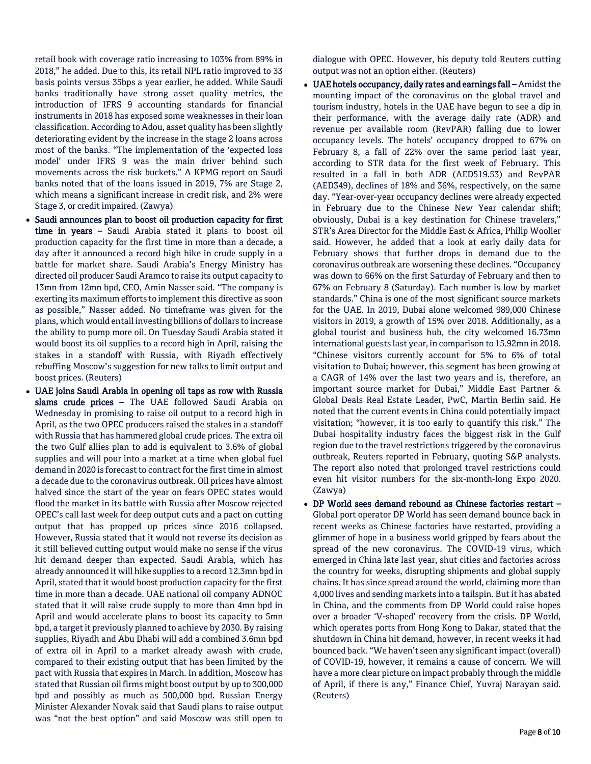retail book with coverage ratio increasing to 103% from 89% in 2018," he added. Due to this, its retail NPL ratio improved to 33 basis points versus 35bps a year earlier, he added. While Saudi banks traditionally have strong asset quality metrics, the introduction of IFRS 9 accounting standards for financial instruments in 2018 has exposed some weaknesses in their loan classification. According to Adou, asset quality has been slightly deteriorating evident by the increase in the stage 2 loans across most of the banks. "The implementation of the 'expected loss model' under IFRS 9 was the main driver behind such movements across the risk buckets." A KPMG report on Saudi banks noted that of the loans issued in 2019, 7% are Stage 2, which means a significant increase in credit risk, and 2% were Stage 3, or credit impaired. (Zawya)

- Saudi announces plan to boost oil production capacity for first time in years – Saudi Arabia stated it plans to boost oil production capacity for the first time in more than a decade, a day after it announced a record high hike in crude supply in a battle for market share. Saudi Arabia's Energy Ministry has directed oil producer Saudi Aramco to raise its output capacity to 13mn from 12mn bpd, CEO, Amin Nasser said. "The company is exerting its maximum efforts to implement this directive as soon as possible," Nasser added. No timeframe was given for the plans, which would entail investing billions of dollars to increase the ability to pump more oil. On Tuesday Saudi Arabia stated it would boost its oil supplies to a record high in April, raising the stakes in a standoff with Russia, with Riyadh effectively rebuffing Moscow's suggestion for new talks to limit output and boost prices. (Reuters)
- UAE joins Saudi Arabia in opening oil taps as row with Russia slams crude prices - The UAE followed Saudi Arabia on Wednesday in promising to raise oil output to a record high in April, as the two OPEC producers raised the stakes in a standoff with Russia that has hammered global crude prices. The extra oil the two Gulf allies plan to add is equivalent to 3.6% of global supplies and will pour into a market at a time when global fuel demand in 2020 is forecast to contract for the first time in almost a decade due to the coronavirus outbreak. Oil prices have almost halved since the start of the year on fears OPEC states would flood the market in its battle with Russia after Moscow rejected OPEC's call last week for deep output cuts and a pact on cutting output that has propped up prices since 2016 collapsed. However, Russia stated that it would not reverse its decision as it still believed cutting output would make no sense if the virus hit demand deeper than expected. Saudi Arabia, which has already announced it will hike supplies to a record 12.3mn bpd in April, stated that it would boost production capacity for the first time in more than a decade. UAE national oil company ADNOC stated that it will raise crude supply to more than 4mn bpd in April and would accelerate plans to boost its capacity to 5mn bpd, a target it previously planned to achieve by 2030. By raising supplies, Riyadh and Abu Dhabi will add a combined 3.6mn bpd of extra oil in April to a market already awash with crude, compared to their existing output that has been limited by the pact with Russia that expires in March. In addition, Moscow has stated that Russian oil firms might boost output by up to 300,000 bpd and possibly as much as 500,000 bpd. Russian Energy Minister Alexander Novak said that Saudi plans to raise output was "not the best option" and said Moscow was still open to

dialogue with OPEC. However, his deputy told Reuters cutting output was not an option either. (Reuters)

- UAE hotels occupancy, daily rates and earnings fall Amidst the mounting impact of the coronavirus on the global travel and tourism industry, hotels in the UAE have begun to see a dip in their performance, with the average daily rate (ADR) and revenue per available room (RevPAR) falling due to lower occupancy levels. The hotels' occupancy dropped to 67% on February 8, a fall of 22% over the same period last year, according to STR data for the first week of February. This resulted in a fall in both ADR (AED519.53) and RevPAR (AED349), declines of 18% and 36%, respectively, on the same day. "Year-over-year occupancy declines were already expected in February due to the Chinese New Year calendar shift; obviously, Dubai is a key destination for Chinese travelers," STR's Area Director for the Middle East & Africa, Philip Wooller said. However, he added that a look at early daily data for February shows that further drops in demand due to the coronavirus outbreak are worsening these declines. "Occupancy was down to 66% on the first Saturday of February and then to 67% on February 8 (Saturday). Each number is low by market standards." China is one of the most significant source markets for the UAE. In 2019, Dubai alone welcomed 989,000 Chinese visitors in 2019, a growth of 15% over 2018. Additionally, as a global tourist and business hub, the city welcomed 16.73mn international guests last year, in comparison to 15.92mn in 2018. "Chinese visitors currently account for 5% to 6% of total visitation to Dubai; however, this segment has been growing at a CAGR of 14% over the last two years and is, therefore, an important source market for Dubai," Middle East Partner & Global Deals Real Estate Leader, PwC, Martin Berlin said. He noted that the current events in China could potentially impact visitation; "however, it is too early to quantify this risk." The Dubai hospitality industry faces the biggest risk in the Gulf region due to the travel restrictions triggered by the coronavirus outbreak, Reuters reported in February, quoting S&P analysts. The report also noted that prolonged travel restrictions could even hit visitor numbers for the six-month-long Expo 2020. (Zawya)
- DP World sees demand rebound as Chinese factories restart Global port operator DP World has seen demand bounce back in recent weeks as Chinese factories have restarted, providing a glimmer of hope in a business world gripped by fears about the spread of the new coronavirus. The COVID-19 virus, which emerged in China late last year, shut cities and factories across the country for weeks, disrupting shipments and global supply chains. It has since spread around the world, claiming more than 4,000 lives and sending markets into a tailspin. But it has abated in China, and the comments from DP World could raise hopes over a broader 'V-shaped' recovery from the crisis. DP World, which operates ports from Hong Kong to Dakar, stated that the shutdown in China hit demand, however, in recent weeks it had bounced back. "We haven't seen any significant impact (overall) of COVID-19, however, it remains a cause of concern. We will have a more clear picture on impact probably through the middle of April, if there is any," Finance Chief, Yuvraj Narayan said. (Reuters)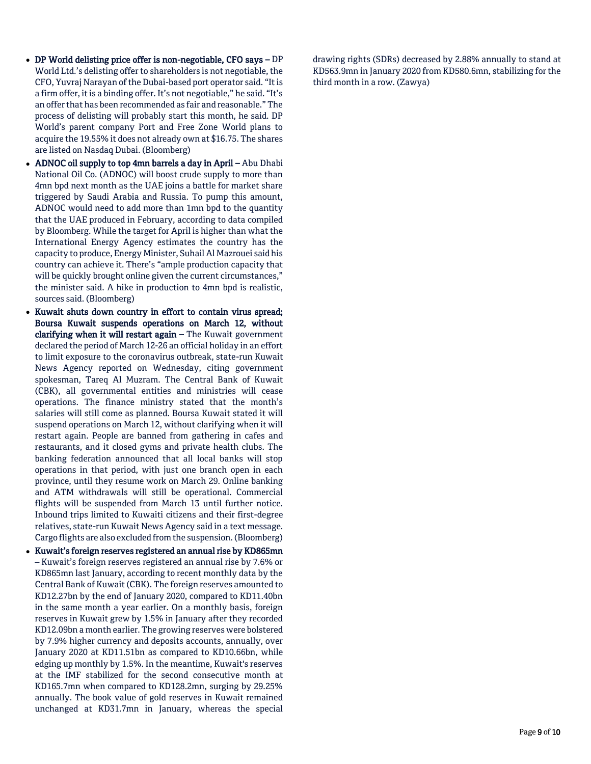- DP World delisting price offer is non-negotiable, CFO says DP World Ltd.'s delisting offer to shareholders is not negotiable, the CFO, Yuvraj Narayan of the Dubai-based port operator said. "It is a firm offer, it is a binding offer. It's not negotiable," he said. "It's an offer that has been recommended as fair and reasonable." The process of delisting will probably start this month, he said. DP World's parent company Port and Free Zone World plans to acquire the 19.55% it does not already own at \$16.75. The shares are listed on Nasdaq Dubai. (Bloomberg)
- ADNOC oil supply to top 4mn barrels a day in April Abu Dhabi National Oil Co. (ADNOC) will boost crude supply to more than 4mn bpd next month as the UAE joins a battle for market share triggered by Saudi Arabia and Russia. To pump this amount, ADNOC would need to add more than 1mn bpd to the quantity that the UAE produced in February, according to data compiled by Bloomberg. While the target for April is higher than what the International Energy Agency estimates the country has the capacity to produce, Energy Minister, Suhail Al Mazrouei said his country can achieve it. There's "ample production capacity that will be quickly brought online given the current circumstances," the minister said. A hike in production to 4mn bpd is realistic, sources said. (Bloomberg)
- Kuwait shuts down country in effort to contain virus spread; Boursa Kuwait suspends operations on March 12, without clarifying when it will restart again - The Kuwait government declared the period of March 12-26 an official holiday in an effort to limit exposure to the coronavirus outbreak, state-run Kuwait News Agency reported on Wednesday, citing government spokesman, Tareq Al Muzram. The Central Bank of Kuwait (CBK), all governmental entities and ministries will cease operations. The finance ministry stated that the month's salaries will still come as planned. Boursa Kuwait stated it will suspend operations on March 12, without clarifying when it will restart again. People are banned from gathering in cafes and restaurants, and it closed gyms and private health clubs. The banking federation announced that all local banks will stop operations in that period, with just one branch open in each province, until they resume work on March 29. Online banking and ATM withdrawals will still be operational. Commercial flights will be suspended from March 13 until further notice. Inbound trips limited to Kuwaiti citizens and their first-degree relatives, state-run Kuwait News Agency said in a text message. Cargo flights are also excluded from the suspension. (Bloomberg)
- Kuwait's foreign reserves registered an annual rise by KD865mn – Kuwait's foreign reserves registered an annual rise by 7.6% or KD865mn last January, according to recent monthly data by the Central Bank of Kuwait (CBK). The foreign reserves amounted to KD12.27bn by the end of January 2020, compared to KD11.40bn in the same month a year earlier. On a monthly basis, foreign reserves in Kuwait grew by 1.5% in January after they recorded KD12.09bn a month earlier. The growing reserves were bolstered by 7.9% higher currency and deposits accounts, annually, over January 2020 at KD11.51bn as compared to KD10.66bn, while edging up monthly by 1.5%. In the meantime, Kuwait's reserves at the IMF stabilized for the second consecutive month at KD165.7mn when compared to KD128.2mn, surging by 29.25% annually. The book value of gold reserves in Kuwait remained unchanged at KD31.7mn in January, whereas the special

drawing rights (SDRs) decreased by 2.88% annually to stand at KD563.9mn in January 2020 from KD580.6mn, stabilizing for the third month in a row. (Zawya)